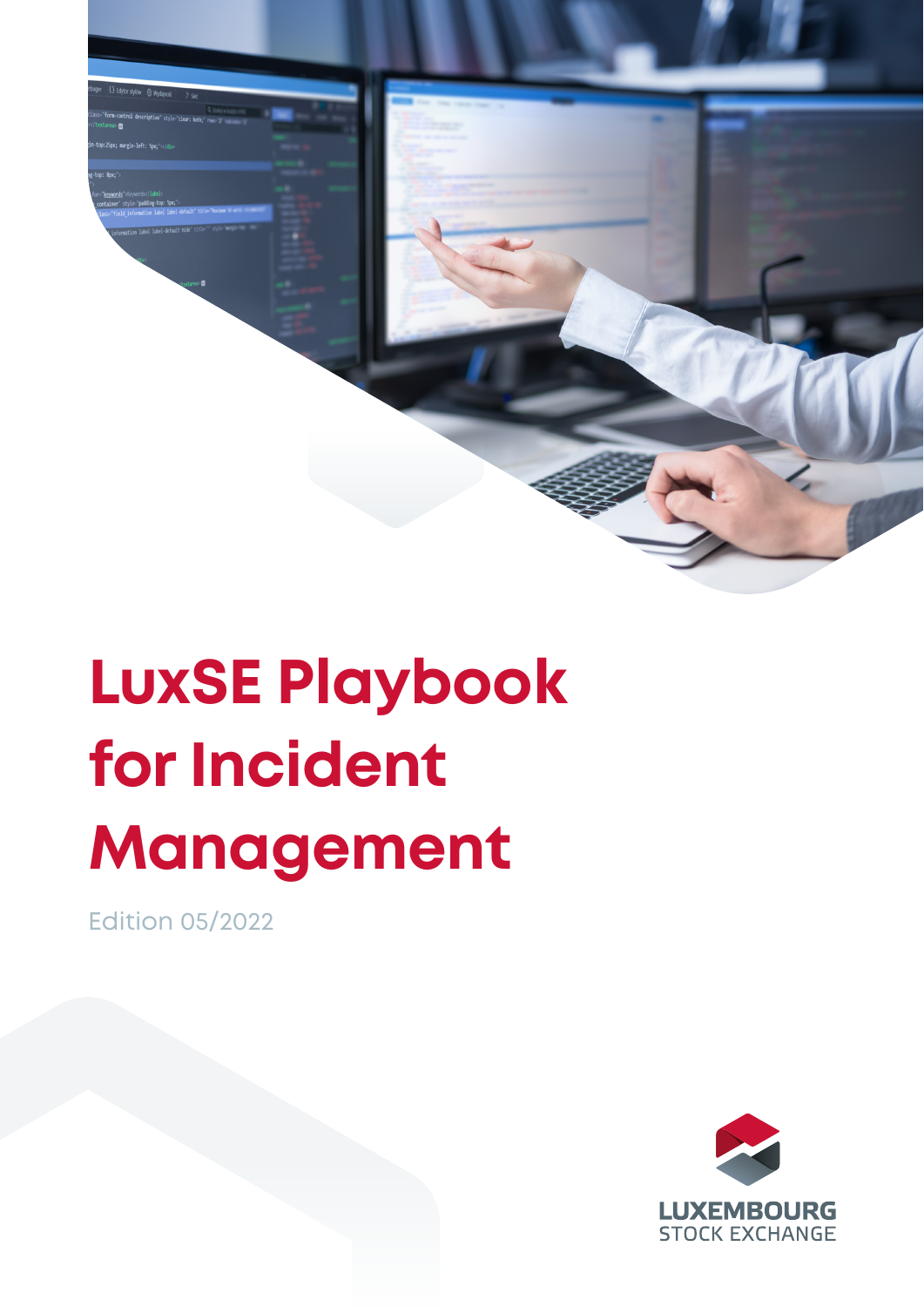

## **LuxSE Playbook for Incident Management**

Edition 05/2022

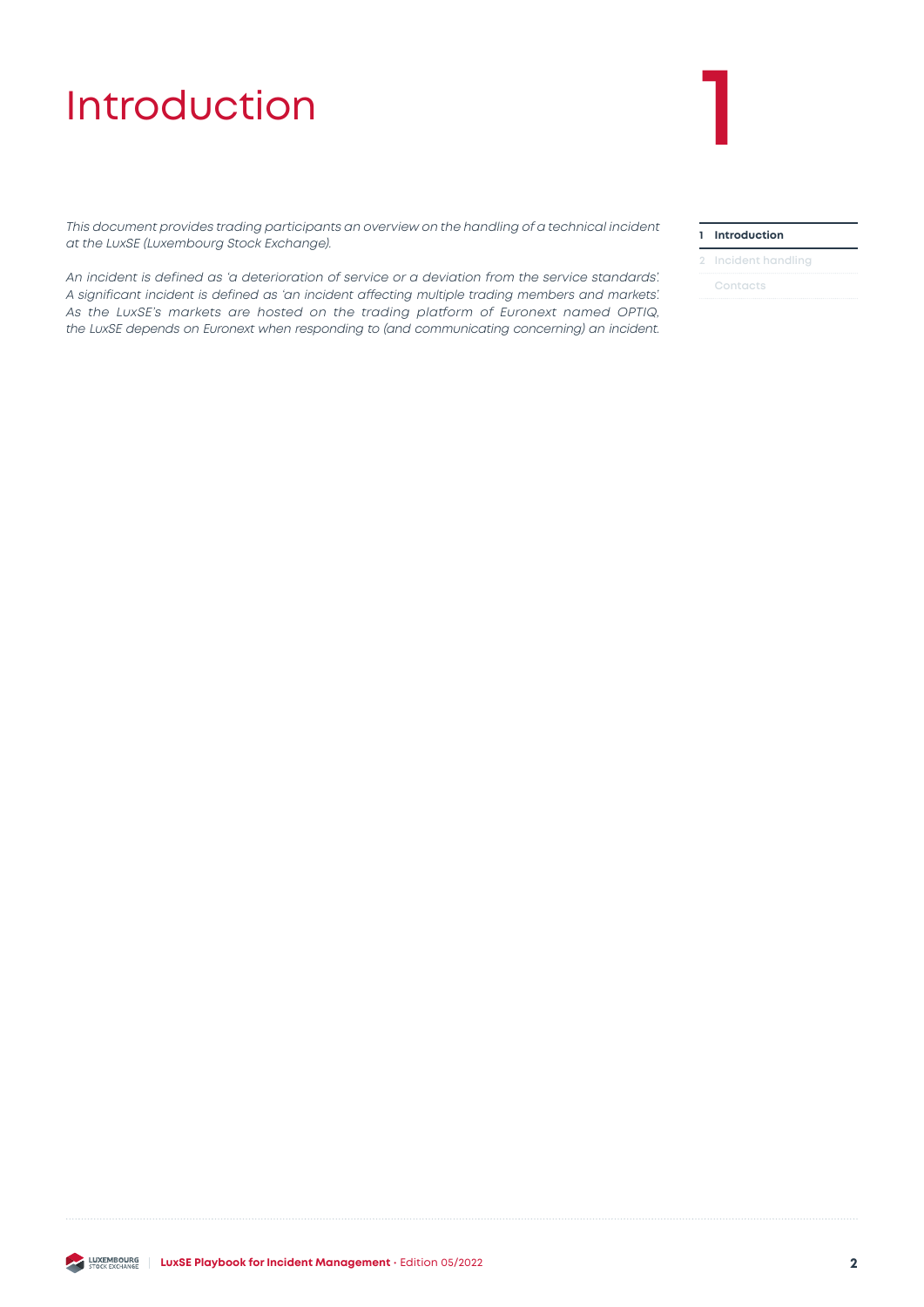## <span id="page-1-0"></span>**Introduction**

*This document provides trading participants an overview on the handling of a technical incident at the LuxSE (Luxembourg Stock Exchange).* 

*An incident is defined as 'a deterioration of service or a deviation from the service standards'. A significant incident is defined as 'an incident affecting multiple trading members and markets'. As the LuxSE's markets are hosted on the trading platform of Euronext named OPTIQ, the LuxSE depends on Euronext when responding to (and communicating concerning) an incident.*

#### **1 Introduction**

#### **2 [Incident handling](#page-2-0)**

**[Contacts](#page-4-0)**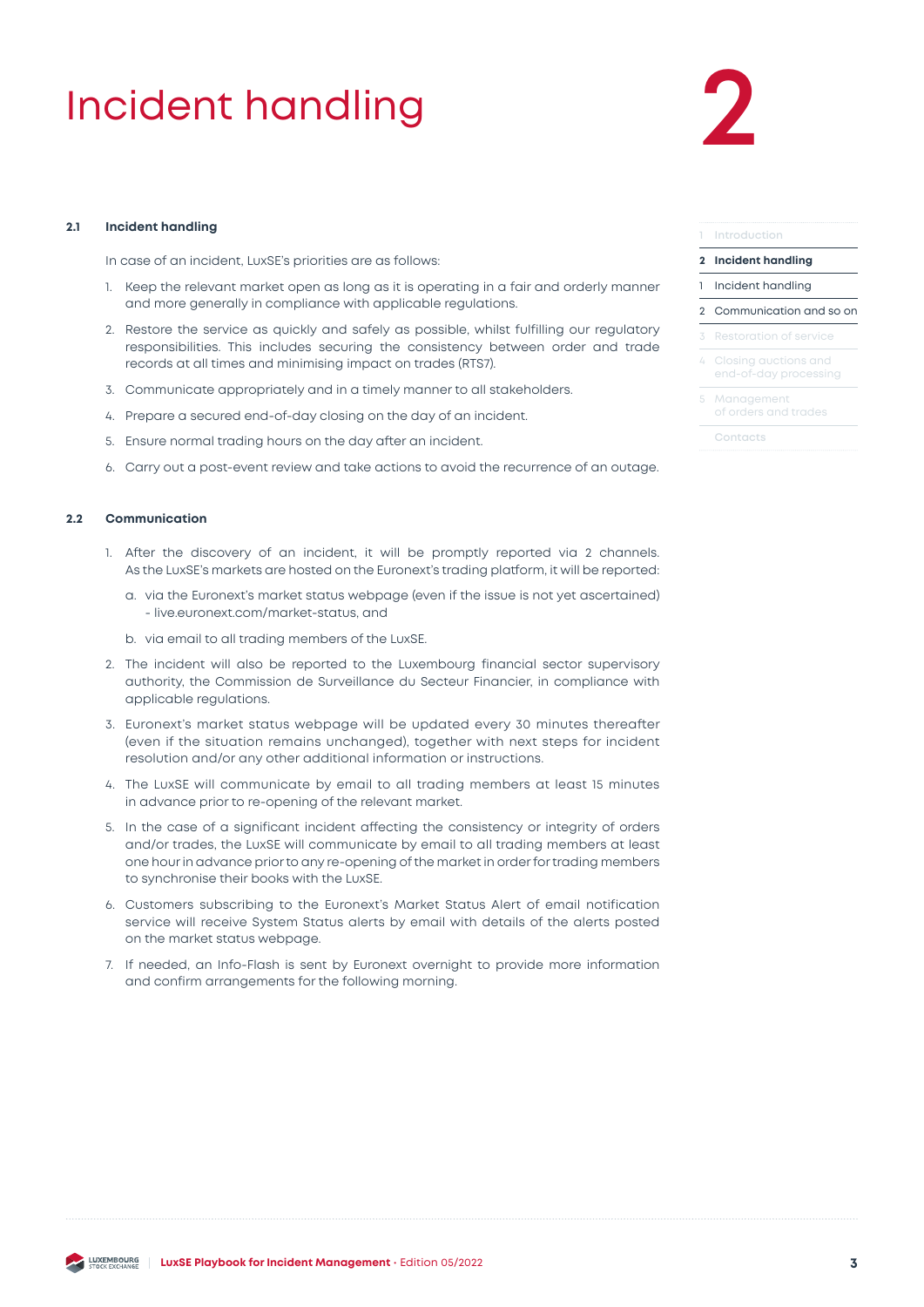## <span id="page-2-0"></span>Incident handling **2**

#### **2.1 Incident handling**

In case of an incident, LuxSE's priorities are as follows:

- 1. Keep the relevant market open as long as it is operating in a fair and orderly manner and more generally in compliance with applicable regulations.
- 2. Restore the service as quickly and safely as possible, whilst fulfilling our regulatory responsibilities. This includes securing the consistency between order and trade records at all times and minimising impact on trades (RTS7).
- 3. Communicate appropriately and in a timely manner to all stakeholders.
- 4. Prepare a secured end-of-day closing on the day of an incident.
- 5. Ensure normal trading hours on the day after an incident.
- 6. Carry out a post-event review and take actions to avoid the recurrence of an outage.

#### **2.2 Communication**

- 1. After the discovery of an incident, it will be promptly reported via 2 channels. As the LuxSE's markets are hosted on the Euronext's trading platform, it will be reported:
	- a. via the Euronext's market status webpage (even if the issue is not yet ascertained) - live.euronext.com/market-status, and
	- b. via email to all trading members of the LuxSE.
- 2. The incident will also be reported to the Luxembourg financial sector supervisory authority, the Commission de Surveillance du Secteur Financier, in compliance with applicable regulations.
- 3. Euronext's market status webpage will be updated every 30 minutes thereafter (even if the situation remains unchanged), together with next steps for incident resolution and/or any other additional information or instructions.
- 4. The LuxSE will communicate by email to all trading members at least 15 minutes in advance prior to re-opening of the relevant market.
- 5. In the case of a significant incident affecting the consistency or integrity of orders and/or trades, the LuxSE will communicate by email to all trading members at least one hour in advance prior to any re-opening of the market in order for trading members to synchronise their books with the LuxSE.
- 6. Customers subscribing to the Euronext's Market Status Alert of email notification service will receive System Status alerts by email with details of the alerts posted on the market status webpage.
- 7. If needed, an Info-Flash is sent by Euronext overnight to provide more information and confirm arrangements for the following morning.

#### **1 [Introduction](#page-1-0)**

#### **2 Incident handling**

- 1 Incident handling
- 2 Communication and so on
	-
- Closing auctions and [end-of-day processing](#page-3-0)
- [5 Management](#page-3-0)  [of orders and trades](#page-3-0)
	- **[Contacts](#page-4-0)**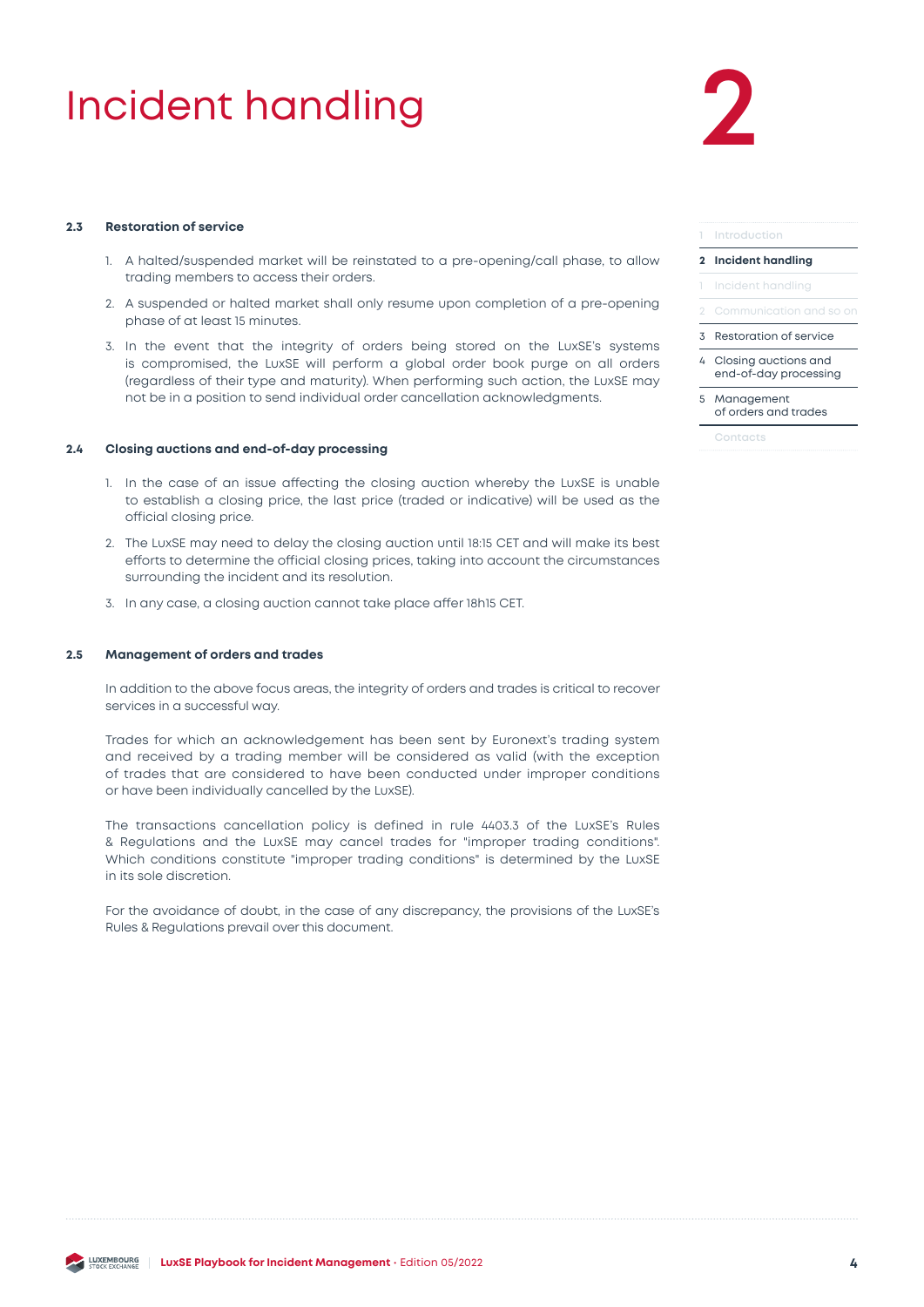## <span id="page-3-0"></span>Incident handling

# **2**

#### **2.3 Restoration of service**

- 1. A halted/suspended market will be reinstated to a pre-opening/call phase, to allow trading members to access their orders.
- 2. A suspended or halted market shall only resume upon completion of a pre-opening phase of at least 15 minutes.
- 3. In the event that the integrity of orders being stored on the LuxSE's systems is compromised, the LuxSE will perform a global order book purge on all orders (regardless of their type and maturity). When performing such action, the LuxSE may not be in a position to send individual order cancellation acknowledgments.

#### **2.4 Closing auctions and end-of-day processing**

- 1. In the case of an issue affecting the closing auction whereby the LuxSE is unable to establish a closing price, the last price (traded or indicative) will be used as the official closing price.
- 2. The LuxSE may need to delay the closing auction until 18:15 CET and will make its best efforts to determine the official closing prices, taking into account the circumstances surrounding the incident and its resolution.
- 3. In any case, a closing auction cannot take place affer 18h15 CET.

#### **2.5 Management of orders and trades**

In addition to the above focus areas, the integrity of orders and trades is critical to recover services in a successful way.

Trades for which an acknowledgement has been sent by Euronext's trading system and received by a trading member will be considered as valid (with the exception of trades that are considered to have been conducted under improper conditions or have been individually cancelled by the LuxSE).

The transactions cancellation policy is defined in rule 4403.3 of the LuxSE's Rules & Regulations and the LuxSE may cancel trades for "improper trading conditions". Which conditions constitute "improper trading conditions" is determined by the LuxSE in its sole discretion.

For the avoidance of doubt, in the case of any discrepancy, the provisions of the LuxSE's Rules & Regulations prevail over this document.

|              | 1 Introduction                                |  |  |
|--------------|-----------------------------------------------|--|--|
| $\mathbf{2}$ | <b>Incident handling</b>                      |  |  |
|              | 1 Incident handling                           |  |  |
|              | 2 Communication and so on                     |  |  |
|              | 3 Restoration of service                      |  |  |
| 4            | Closing auctions and<br>end-of-day processing |  |  |
|              |                                               |  |  |

5 Management of orders and trades

**[Contacts](#page-4-0)**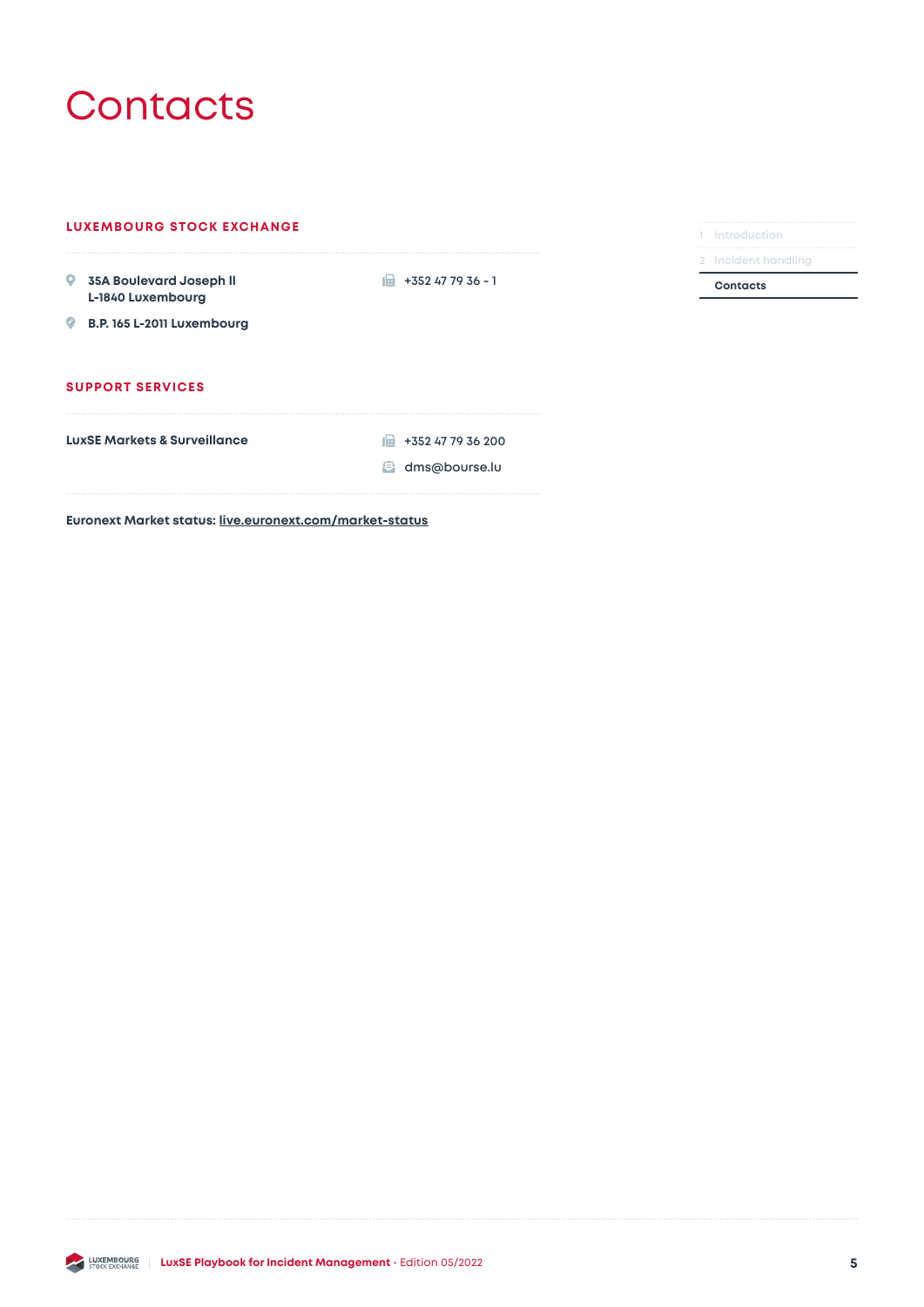### <span id="page-4-0"></span>**Contacts**

| <b>LUXEMBOURG STOCK EXCHANGE</b>                                   | Introduction              |                 |
|--------------------------------------------------------------------|---------------------------|-----------------|
|                                                                    |                           |                 |
| 9 35A Boulevard Joseph II<br>L-1840 Luxembourg                     | $+352477936 - 1$<br>tist. | <b>Contacts</b> |
| B.P. 165 L-2011 Luxembourg                                         |                           |                 |
|                                                                    |                           |                 |
|                                                                    |                           |                 |
| <b>SUPPORT SERVICES</b><br><b>LuxSE Markets &amp; Surveillance</b> | +352 47 79 36 200<br>ılat |                 |

**LUXSE Playbook for Incident Management** • Edition 05/2022 **5 5**